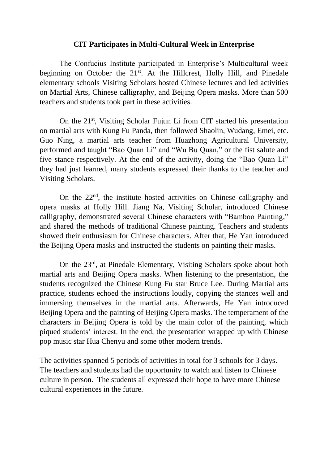## **CIT Participates in Multi-Cultural Week in Enterprise**

The Confucius Institute participated in Enterprise's Multicultural week beginning on October the 21<sup>st</sup>. At the Hillcrest, Holly Hill, and Pinedale elementary schools Visiting Scholars hosted Chinese lectures and led activities on Martial Arts, Chinese calligraphy, and Beijing Opera masks. More than 500 teachers and students took part in these activities.

On the 21<sup>st</sup>, Visiting Scholar Fujun Li from CIT started his presentation on martial arts with Kung Fu Panda, then followed Shaolin, Wudang, Emei, etc. Guo Ning, a martial arts teacher from Huazhong Agricultural University, performed and taught "Bao Quan Li" and "Wu Bu Quan," or the fist salute and five stance respectively. At the end of the activity, doing the "Bao Quan Li" they had just learned, many students expressed their thanks to the teacher and Visiting Scholars.

On the 22nd, the institute hosted activities on Chinese calligraphy and opera masks at Holly Hill. Jiang Na, Visiting Scholar, introduced Chinese calligraphy, demonstrated several Chinese characters with "Bamboo Painting," and shared the methods of traditional Chinese painting. Teachers and students showed their enthusiasm for Chinese characters. After that, He Yan introduced the Beijing Opera masks and instructed the students on painting their masks.

On the 23rd, at Pinedale Elementary, Visiting Scholars spoke about both martial arts and Beijing Opera masks. When listening to the presentation, the students recognized the Chinese Kung Fu star Bruce Lee. During Martial arts practice, students echoed the instructions loudly, copying the stances well and immersing themselves in the martial arts. Afterwards, He Yan introduced Beijing Opera and the painting of Beijing Opera masks. The temperament of the characters in Beijing Opera is told by the main color of the painting, which piqued students' interest. In the end, the presentation wrapped up with Chinese pop music star Hua Chenyu and some other modern trends.

The activities spanned 5 periods of activities in total for 3 schools for 3 days. The teachers and students had the opportunity to watch and listen to Chinese culture in person. The students all expressed their hope to have more Chinese cultural experiences in the future.